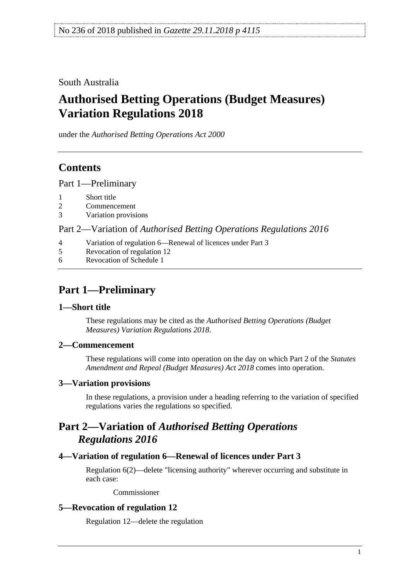South Australia

# **Authorised Betting Operations (Budget Measures) Variation Regulations 2018**

under the *Authorised Betting Operations Act 2000*

## **Contents**

Part [1—Preliminary](#page-0-0)

- 1 [Short title](#page-0-1)
- 2 [Commencement](#page-0-2)
- 3 [Variation provisions](#page-0-3)

Part 2—Variation of *[Authorised Betting Operations Regulations](#page-0-4) 2016*

- 4 [Variation of regulation 6—Renewal of licences under Part 3](#page-0-5)
- 5 [Revocation of regulation 12](#page-0-6)
- 6 [Revocation of Schedule 1](#page-1-0)

# <span id="page-0-0"></span>**Part 1—Preliminary**

### <span id="page-0-1"></span>**1—Short title**

These regulations may be cited as the *Authorised Betting Operations (Budget Measures) Variation Regulations 2018*.

### <span id="page-0-2"></span>**2—Commencement**

These regulations will come into operation on the day on which Part 2 of the *[Statutes](http://www.legislation.sa.gov.au/index.aspx?action=legref&type=act&legtitle=Statutes%20Amendment%20and%20Repeal%20(Budget%20Measures)%20Act%202018)  [Amendment and Repeal \(Budget Measures\) Act 2018](http://www.legislation.sa.gov.au/index.aspx?action=legref&type=act&legtitle=Statutes%20Amendment%20and%20Repeal%20(Budget%20Measures)%20Act%202018)* comes into operation.

### <span id="page-0-3"></span>**3—Variation provisions**

In these regulations, a provision under a heading referring to the variation of specified regulations varies the regulations so specified.

### <span id="page-0-4"></span>**Part 2—Variation of** *Authorised Betting Operations Regulations 2016*

### <span id="page-0-5"></span>**4—Variation of regulation 6—Renewal of licences under Part 3**

Regulation 6(2)—delete "licensing authority" wherever occurring and substitute in each case:

Commissioner

### <span id="page-0-6"></span>**5—Revocation of regulation 12**

Regulation 12—delete the regulation